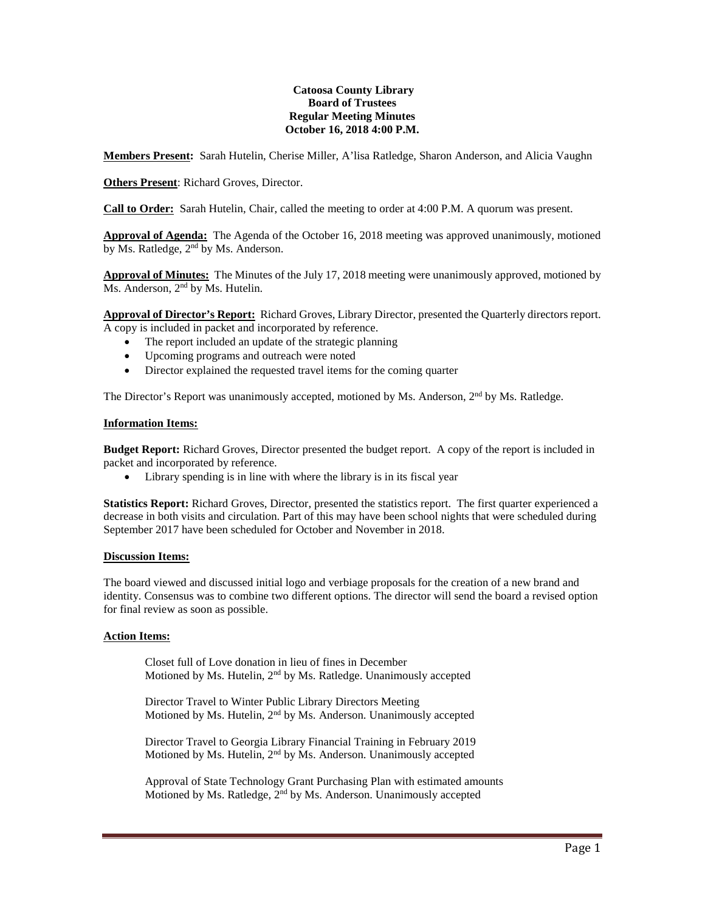#### **Catoosa County Library Board of Trustees Regular Meeting Minutes October 16, 2018 4:00 P.M.**

**Members Present:** Sarah Hutelin, Cherise Miller, A'lisa Ratledge, Sharon Anderson, and Alicia Vaughn

**Others Present**: Richard Groves, Director.

**Call to Order:** Sarah Hutelin, Chair, called the meeting to order at 4:00 P.M. A quorum was present.

**Approval of Agenda:** The Agenda of the October 16, 2018 meeting was approved unanimously, motioned by Ms. Ratledge, 2<sup>nd</sup> by Ms. Anderson.

**Approval of Minutes:** The Minutes of the July 17, 2018 meeting were unanimously approved, motioned by Ms. Anderson, 2<sup>nd</sup> by Ms. Hutelin.

**Approval of Director's Report:** Richard Groves, Library Director, presented the Quarterly directors report. A copy is included in packet and incorporated by reference.

- The report included an update of the strategic planning
- Upcoming programs and outreach were noted
- Director explained the requested travel items for the coming quarter

The Director's Report was unanimously accepted, motioned by Ms. Anderson, 2<sup>nd</sup> by Ms. Ratledge.

#### **Information Items:**

**Budget Report:** Richard Groves, Director presented the budget report. A copy of the report is included in packet and incorporated by reference.

• Library spending is in line with where the library is in its fiscal year

**Statistics Report:** Richard Groves, Director, presented the statistics report. The first quarter experienced a decrease in both visits and circulation. Part of this may have been school nights that were scheduled during September 2017 have been scheduled for October and November in 2018.

# **Discussion Items:**

The board viewed and discussed initial logo and verbiage proposals for the creation of a new brand and identity. Consensus was to combine two different options. The director will send the board a revised option for final review as soon as possible.

## **Action Items:**

Closet full of Love donation in lieu of fines in December Motioned by Ms. Hutelin, 2nd by Ms. Ratledge. Unanimously accepted

Director Travel to Winter Public Library Directors Meeting Motioned by Ms. Hutelin, 2nd by Ms. Anderson. Unanimously accepted

Director Travel to Georgia Library Financial Training in February 2019 Motioned by Ms. Hutelin, 2<sup>nd</sup> by Ms. Anderson. Unanimously accepted

Approval of State Technology Grant Purchasing Plan with estimated amounts Motioned by Ms. Ratledge, 2nd by Ms. Anderson. Unanimously accepted